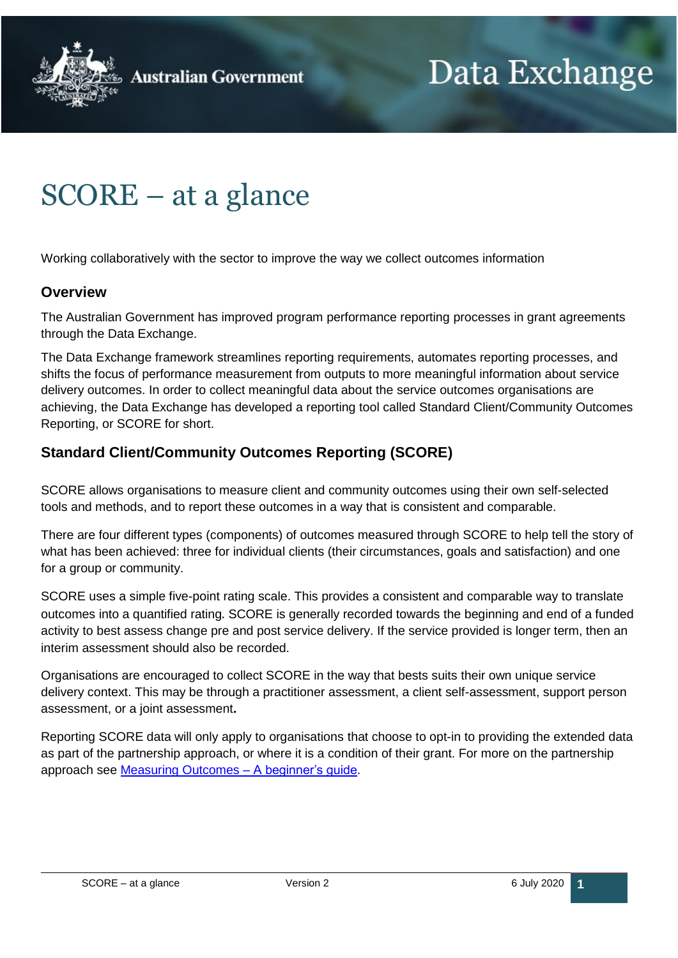

# Data Exchange

# SCORE – at a glance

Working collaboratively with the sector to improve the way we collect outcomes information

### **Overview**

The Australian Government has improved program performance reporting processes in grant agreements through the Data Exchange.

The Data Exchange framework streamlines reporting requirements, automates reporting processes, and shifts the focus of performance measurement from outputs to more meaningful information about service delivery outcomes. In order to collect meaningful data about the service outcomes organisations are achieving, the Data Exchange has developed a reporting tool called Standard Client/Community Outcomes Reporting, or SCORE for short.

### **Standard Client/Community Outcomes Reporting (SCORE)**

SCORE allows organisations to measure client and community outcomes using their own self-selected tools and methods, and to report these outcomes in a way that is consistent and comparable.

There are four different types (components) of outcomes measured through SCORE to help tell the story of what has been achieved: three for individual clients (their circumstances, goals and satisfaction) and one for a group or community.

SCORE uses a simple five-point rating scale. This provides a consistent and comparable way to translate outcomes into a quantified rating. SCORE is generally recorded towards the beginning and end of a funded activity to best assess change pre and post service delivery. If the service provided is longer term, then an interim assessment should also be recorded.

Organisations are encouraged to collect SCORE in the way that bests suits their own unique service delivery context. This may be through a practitioner assessment, a client self-assessment, support person assessment, or a joint assessment**.**

Reporting SCORE data will only apply to organisations that choose to opt-in to providing the extended data as part of the partnership approach, or where it is a condition of their grant. For more on the partnership approach see [Measuring Outcomes –](https://dex.dss.gov.au/document/301) A beginner's guide.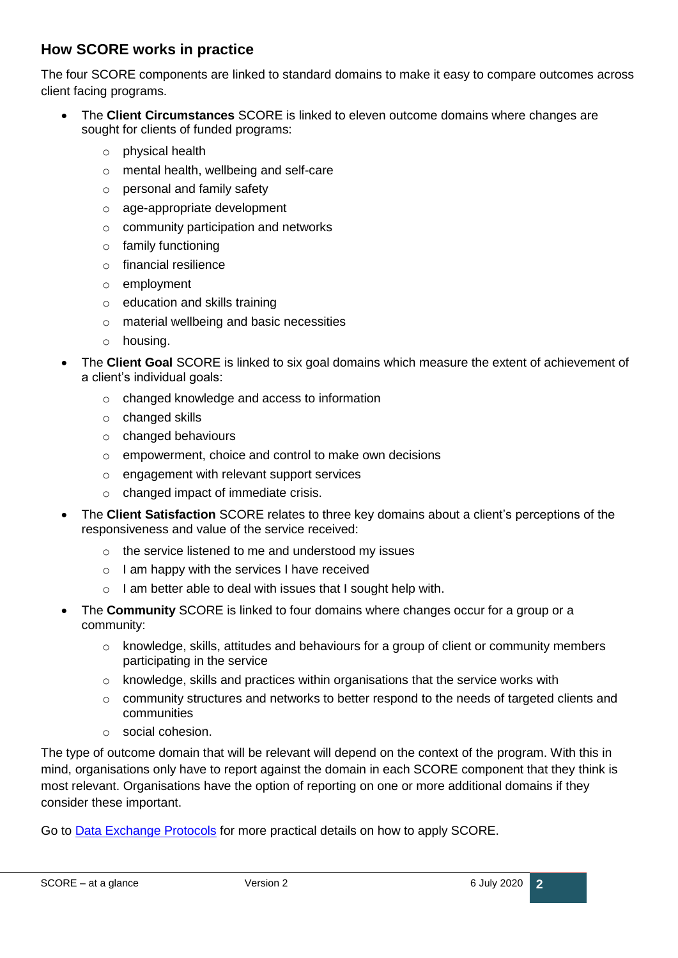# **How SCORE works in practice**

The four SCORE components are linked to standard domains to make it easy to compare outcomes across client facing programs.

- The **Client Circumstances** SCORE is linked to eleven outcome domains where changes are sought for clients of funded programs:
	- o physical health
	- o mental health, wellbeing and self-care
	- o personal and family safety
	- o age-appropriate development
	- $\circ$  community participation and networks
	- o family functioning
	- o financial resilience
	- o employment
	- o education and skills training
	- o material wellbeing and basic necessities
	- o housing.
- The **Client Goal** SCORE is linked to six goal domains which measure the extent of achievement of a client's individual goals:
	- o changed knowledge and access to information
	- o changed skills
	- o changed behaviours
	- o empowerment, choice and control to make own decisions
	- o engagement with relevant support services
	- o changed impact of immediate crisis.
- The **Client Satisfaction** SCORE relates to three key domains about a client's perceptions of the responsiveness and value of the service received:
	- o the service listened to me and understood my issues
	- o I am happy with the services I have received
	- o I am better able to deal with issues that I sought help with.
- The **Community** SCORE is linked to four domains where changes occur for a group or a community:
	- o knowledge, skills, attitudes and behaviours for a group of client or community members participating in the service
	- $\circ$  knowledge, skills and practices within organisations that the service works with
	- $\circ$  community structures and networks to better respond to the needs of targeted clients and communities
	- o social cohesion.

The type of outcome domain that will be relevant will depend on the context of the program. With this in mind, organisations only have to report against the domain in each SCORE component that they think is most relevant. Organisations have the option of reporting on one or more additional domains if they consider these important.

Go to [Data Exchange Protocols](https://dex.dss.gov.au/document/81) for more practical details on how to apply SCORE.